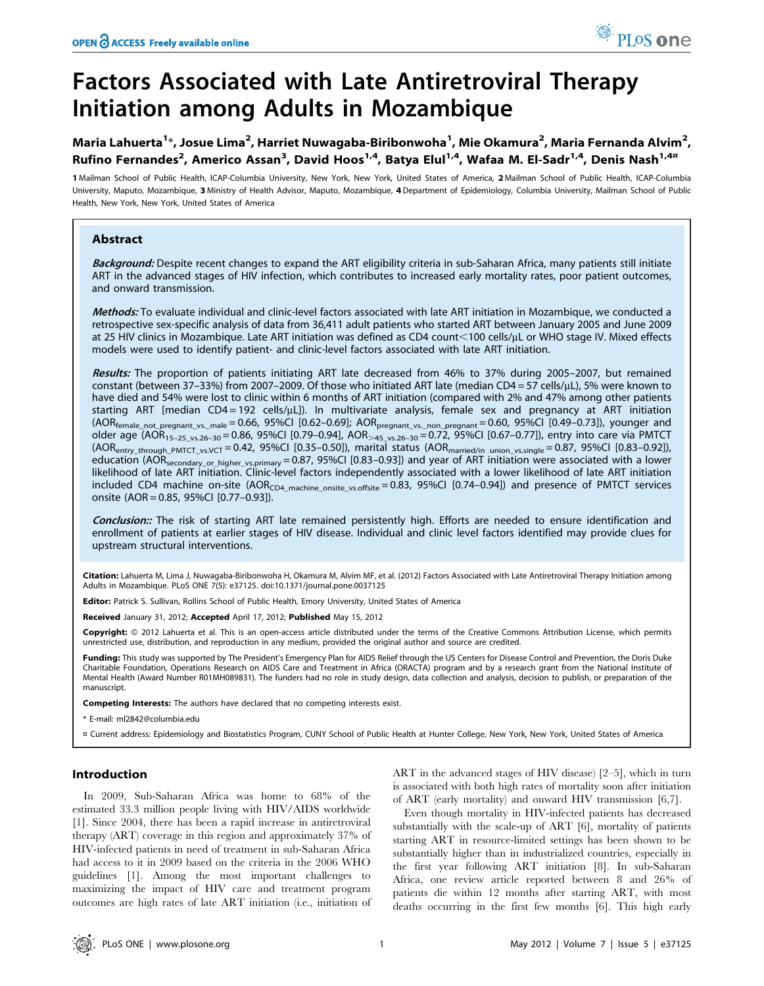# Factors Associated with Late Antiretroviral Therapy Initiation among Adults in Mozambique

Maria Lahuerta<sup>1</sup>\*, Josue Lima<sup>2</sup>, Harriet Nuwagaba-Biribonwoha<sup>1</sup>, Mie Okamura<sup>2</sup>, Maria Fernanda Alvim<sup>2</sup>, Rufino Fernandes<sup>2</sup>, Americo Assan<sup>3</sup>, David Hoos<sup>1,4</sup>, Batya Elul<sup>1,4</sup>, Wafaa M. El-Sadr<sup>1,4</sup>, Denis Nash<sup>1,4¤</sup>

1 Mailman School of Public Health, ICAP-Columbia University, New York, New York, United States of America, 2 Mailman School of Public Health, ICAP-Columbia University, Maputo, Mozambique, 3 Ministry of Health Advisor, Maputo, Mozambique, 4Department of Epidemiology, Columbia University, Mailman School of Public Health, New York, New York, United States of America

# Abstract

Background: Despite recent changes to expand the ART eligibility criteria in sub-Saharan Africa, many patients still initiate ART in the advanced stages of HIV infection, which contributes to increased early mortality rates, poor patient outcomes, and onward transmission.

Methods: To evaluate individual and clinic-level factors associated with late ART initiation in Mozambique, we conducted a retrospective sex-specific analysis of data from 36,411 adult patients who started ART between January 2005 and June 2009 at 25 HIV clinics in Mozambique. Late ART initiation was defined as CD4 count<100 cells/µL or WHO stage IV. Mixed effects models were used to identify patient- and clinic-level factors associated with late ART initiation.

Results: The proportion of patients initiating ART late decreased from 46% to 37% during 2005–2007, but remained constant (between 37-33%) from 2007-2009. Of those who initiated ART late (median CD4 = 57 cells/ $\mu$ L), 5% were known to have died and 54% were lost to clinic within 6 months of ART initiation (compared with 2% and 47% among other patients starting ART [median CD4 = 192 cells/ $\mu$ L]). In multivariate analysis, female sex and pregnancy at ART initiation  $(AOR_{female\ not\ pregnant\ vs.\ male} = 0.66, 95\% CI\ [0.62–0.69]; AOR_{pregnant\ vs.\ non\ pregnant} = 0.60, 95\% CI\ [0.49–0.73]),$  younger and older age (AOR<sub>15–25\_vs.26–30</sub> = 0.86, 95%CI [0.79–0.94], AOR<sub>>45\_vs.26–30</sub> = 0.72, 95%CI [0.67–0.77]), entry into care via PMTCT  $(AOR<sub>entry_through_PMTCT_vs.VCT</sub> = 0.42, 95% CI [0.35-0.50]),$  marital status  $(AOR<sub>married/in-union_vs.single</sub> = 0.87, 95% CI [0.83-0.92]),$ education (AORsecondary\_or\_higher\_vs.primary = 0.87, 95%CI [0.83–0.93]) and year of ART initiation were associated with a lower likelihood of late ART initiation. Clinic-level factors independently associated with a lower likelihood of late ART initiation included CD4 machine on-site  $(AOR<sub>CD4_machine\_onsite_vs.offsite = 0.83, 95%CI [0.74–0.94])</sub>$  and presence of PMTCT services onsite (AOR = 0.85, 95%CI [0.77–0.93]).

Conclusion:: The risk of starting ART late remained persistently high. Efforts are needed to ensure identification and enrollment of patients at earlier stages of HIV disease. Individual and clinic level factors identified may provide clues for upstream structural interventions.

Citation: Lahuerta M, Lima J, Nuwagaba-Biribonwoha H, Okamura M, Alvim MF, et al. (2012) Factors Associated with Late Antiretroviral Therapy Initiation among Adults in Mozambique. PLoS ONE 7(5): e37125. doi:10.1371/journal.pone.0037125

Editor: Patrick S. Sullivan, Rollins School of Public Health, Emory University, United States of America

Received January 31, 2012; Accepted April 17, 2012; Published May 15, 2012

Copyright: © 2012 Lahuerta et al. This is an open-access article distributed under the terms of the Creative Commons Attribution License, which permits unrestricted use, distribution, and reproduction in any medium, provided the original author and source are credited.

Funding: This study was supported by The President's Emergency Plan for AIDS Relief through the US Centers for Disease Control and Prevention, the Doris Duke Charitable Foundation, Operations Research on AIDS Care and Treatment in Africa (ORACTA) program and by a research grant from the National Institute of Mental Health (Award Number R01MH089831). The funders had no role in study design, data collection and analysis, decision to publish, or preparation of the manuscript.

Competing Interests: The authors have declared that no competing interests exist.

\* E-mail: ml2842@columbia.edu

¤ Current address: Epidemiology and Biostatistics Program, CUNY School of Public Health at Hunter College, New York, New York, United States of America

# Introduction

In 2009, Sub-Saharan Africa was home to 68% of the estimated 33.3 million people living with HIV/AIDS worldwide [1]. Since 2004, there has been a rapid increase in antiretroviral therapy (ART) coverage in this region and approximately 37% of HIV-infected patients in need of treatment in sub-Saharan Africa had access to it in 2009 based on the criteria in the 2006 WHO guidelines [1]. Among the most important challenges to maximizing the impact of HIV care and treatment program outcomes are high rates of late ART initiation (i.e., initiation of ART in the advanced stages of HIV disease) [2–5], which in turn is associated with both high rates of mortality soon after initiation of ART (early mortality) and onward HIV transmission [6,7].

Even though mortality in HIV-infected patients has decreased substantially with the scale-up of ART [6], mortality of patients starting ART in resource-limited settings has been shown to be substantially higher than in industrialized countries, especially in the first year following ART initiation [8]. In sub-Saharan Africa, one review article reported between 8 and 26% of patients die within 12 months after starting ART, with most deaths occurring in the first few months [6]. This high early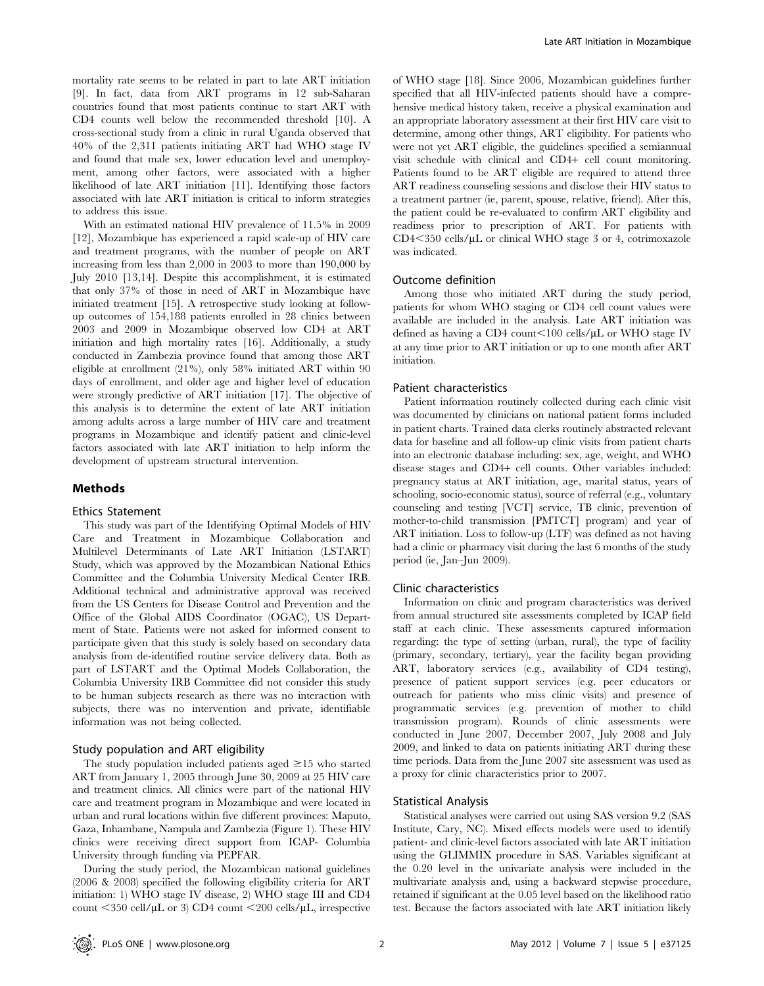mortality rate seems to be related in part to late ART initiation [9]. In fact, data from ART programs in 12 sub-Saharan countries found that most patients continue to start ART with CD4 counts well below the recommended threshold [10]. A cross-sectional study from a clinic in rural Uganda observed that 40% of the 2,311 patients initiating ART had WHO stage IV and found that male sex, lower education level and unemployment, among other factors, were associated with a higher likelihood of late ART initiation [11]. Identifying those factors associated with late ART initiation is critical to inform strategies to address this issue.

With an estimated national HIV prevalence of 11.5% in 2009 [12], Mozambique has experienced a rapid scale-up of HIV care and treatment programs, with the number of people on ART increasing from less than 2,000 in 2003 to more than 190,000 by July 2010 [13,14]. Despite this accomplishment, it is estimated that only 37% of those in need of ART in Mozambique have initiated treatment [15]. A retrospective study looking at followup outcomes of 154,188 patients enrolled in 28 clinics between 2003 and 2009 in Mozambique observed low CD4 at ART initiation and high mortality rates [16]. Additionally, a study conducted in Zambezia province found that among those ART eligible at enrollment (21%), only 58% initiated ART within 90 days of enrollment, and older age and higher level of education were strongly predictive of ART initiation [17]. The objective of this analysis is to determine the extent of late ART initiation among adults across a large number of HIV care and treatment programs in Mozambique and identify patient and clinic-level factors associated with late ART initiation to help inform the development of upstream structural intervention.

# Methods

## Ethics Statement

This study was part of the Identifying Optimal Models of HIV Care and Treatment in Mozambique Collaboration and Multilevel Determinants of Late ART Initiation (LSTART) Study, which was approved by the Mozambican National Ethics Committee and the Columbia University Medical Center IRB. Additional technical and administrative approval was received from the US Centers for Disease Control and Prevention and the Office of the Global AIDS Coordinator (OGAC), US Department of State. Patients were not asked for informed consent to participate given that this study is solely based on secondary data analysis from de-identified routine service delivery data. Both as part of LSTART and the Optimal Models Collaboration, the Columbia University IRB Committee did not consider this study to be human subjects research as there was no interaction with subjects, there was no intervention and private, identifiable information was not being collected.

# Study population and ART eligibility

The study population included patients aged  $\geq 15$  who started ART from January 1, 2005 through June 30, 2009 at 25 HIV care and treatment clinics. All clinics were part of the national HIV care and treatment program in Mozambique and were located in urban and rural locations within five different provinces: Maputo, Gaza, Inhambane, Nampula and Zambezia (Figure 1). These HIV clinics were receiving direct support from ICAP- Columbia University through funding via PEPFAR.

During the study period, the Mozambican national guidelines (2006 & 2008) specified the following eligibility criteria for ART initiation: 1) WHO stage IV disease, 2) WHO stage III and CD4 count  $\langle 350 \text{ cell/}\mu\text{L} \text{ or } 3 \rangle$  CD4 count  $\langle 200 \text{ cells/}\mu\text{L} \rangle$ , irrespective

of WHO stage [18]. Since 2006, Mozambican guidelines further specified that all HIV-infected patients should have a comprehensive medical history taken, receive a physical examination and an appropriate laboratory assessment at their first HIV care visit to determine, among other things, ART eligibility. For patients who were not yet ART eligible, the guidelines specified a semiannual visit schedule with clinical and CD4+ cell count monitoring. Patients found to be ART eligible are required to attend three ART readiness counseling sessions and disclose their HIV status to a treatment partner (ie, parent, spouse, relative, friend). After this, the patient could be re-evaluated to confirm ART eligibility and readiness prior to prescription of ART. For patients with  $CD4<350$  cells/ $\mu$ L or clinical WHO stage 3 or 4, cotrimoxazole was indicated.

## Outcome definition

Among those who initiated ART during the study period, patients for whom WHO staging or CD4 cell count values were available are included in the analysis. Late ART initiation was defined as having a CD4 count $\leq$ 100 cells/ $\mu$ L or WHO stage IV at any time prior to ART initiation or up to one month after ART initiation.

#### Patient characteristics

Patient information routinely collected during each clinic visit was documented by clinicians on national patient forms included in patient charts. Trained data clerks routinely abstracted relevant data for baseline and all follow-up clinic visits from patient charts into an electronic database including: sex, age, weight, and WHO disease stages and CD4+ cell counts. Other variables included: pregnancy status at ART initiation, age, marital status, years of schooling, socio-economic status), source of referral (e.g., voluntary counseling and testing [VCT] service, TB clinic, prevention of mother-to-child transmission [PMTCT] program) and year of ART initiation. Loss to follow-up (LTF) was defined as not having had a clinic or pharmacy visit during the last 6 months of the study period (ie, Jan–Jun 2009).

### Clinic characteristics

Information on clinic and program characteristics was derived from annual structured site assessments completed by ICAP field staff at each clinic. These assessments captured information regarding: the type of setting (urban, rural), the type of facility (primary, secondary, tertiary), year the facility began providing ART, laboratory services (e.g., availability of CD4 testing), presence of patient support services (e.g. peer educators or outreach for patients who miss clinic visits) and presence of programmatic services (e.g. prevention of mother to child transmission program). Rounds of clinic assessments were conducted in June 2007, December 2007, July 2008 and July 2009, and linked to data on patients initiating ART during these time periods. Data from the June 2007 site assessment was used as a proxy for clinic characteristics prior to 2007.

#### Statistical Analysis

Statistical analyses were carried out using SAS version 9.2 (SAS Institute, Cary, NC). Mixed effects models were used to identify patient- and clinic-level factors associated with late ART initiation using the GLIMMIX procedure in SAS. Variables significant at the 0.20 level in the univariate analysis were included in the multivariate analysis and, using a backward stepwise procedure, retained if significant at the 0.05 level based on the likelihood ratio test. Because the factors associated with late ART initiation likely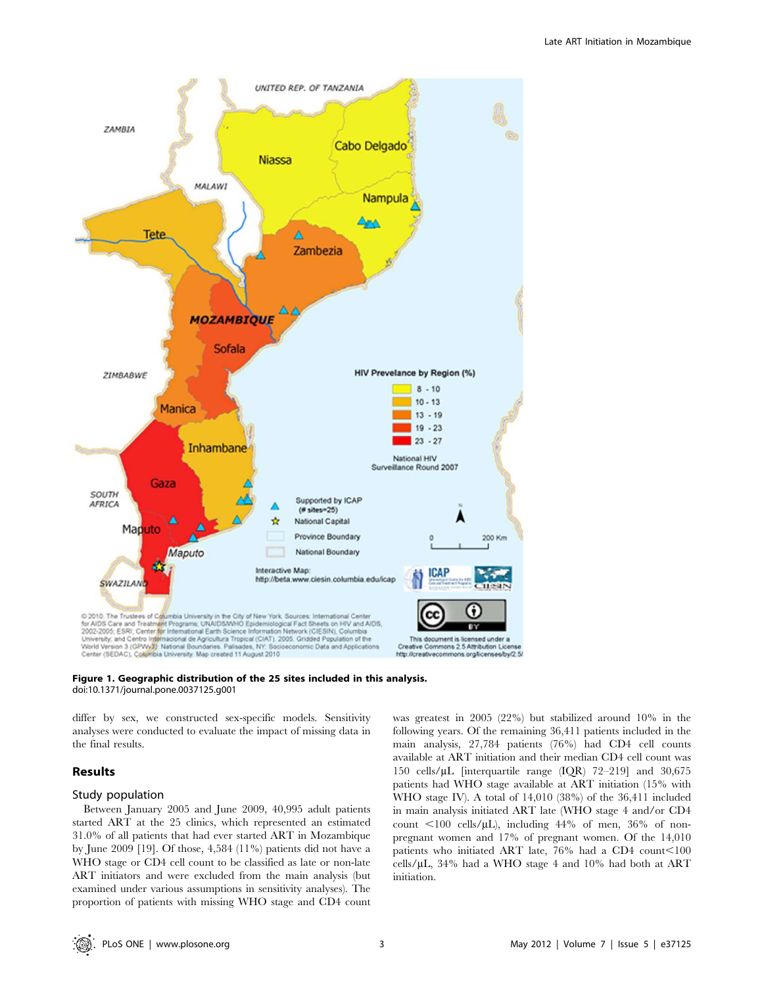



differ by sex, we constructed sex-specific models. Sensitivity analyses were conducted to evaluate the impact of missing data in the final results.

# Results

# Study population

Between January 2005 and June 2009, 40,995 adult patients started ART at the 25 clinics, which represented an estimated 31.0% of all patients that had ever started ART in Mozambique by June 2009 [19]. Of those, 4,584 (11%) patients did not have a WHO stage or CD4 cell count to be classified as late or non-late ART initiators and were excluded from the main analysis (but examined under various assumptions in sensitivity analyses). The proportion of patients with missing WHO stage and CD4 count was greatest in 2005 (22%) but stabilized around 10% in the following years. Of the remaining 36,411 patients included in the main analysis, 27,784 patients (76%) had CD4 cell counts available at ART initiation and their median CD4 cell count was 150 cells/mL [interquartile range (IQR) 72–219] and 30,675 patients had WHO stage available at ART initiation (15% with WHO stage IV). A total of 14,010 (38%) of the 36,411 included in main analysis initiated ART late (WHO stage 4 and/or CD4 count  $\langle 100 \text{ cells/}\mu L \rangle$ , including 44% of men, 36% of nonpregnant women and 17% of pregnant women. Of the 14,010 patients who initiated ART late,  $76\%$  had a CD4 count $<100$ cells/ $\mu$ L, 34% had a WHO stage 4 and 10% had both at ART initiation.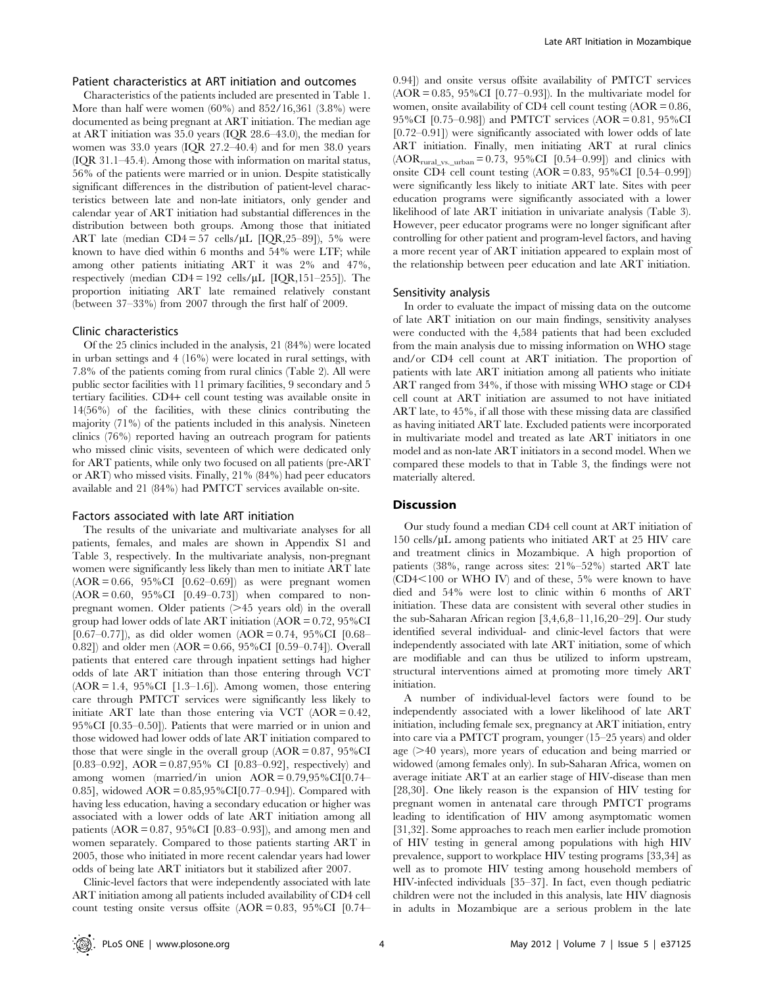# Patient characteristics at ART initiation and outcomes

Characteristics of the patients included are presented in Table 1. More than half were women (60%) and 852/16,361 (3.8%) were documented as being pregnant at ART initiation. The median age at ART initiation was 35.0 years (IQR 28.6–43.0), the median for women was 33.0 years (IQR 27.2–40.4) and for men 38.0 years (IQR 31.1–45.4). Among those with information on marital status, 56% of the patients were married or in union. Despite statistically significant differences in the distribution of patient-level characteristics between late and non-late initiators, only gender and calendar year of ART initiation had substantial differences in the distribution between both groups. Among those that initiated ART late (median CD4 = 57 cells/ $\mu$ L [IQR,25–89]), 5% were known to have died within 6 months and 54% were LTF; while among other patients initiating ART it was 2% and 47%, respectively (median  $CD4 = 192$  cells/ $\mu$ L [IQR,151–255]). The proportion initiating ART late remained relatively constant (between 37–33%) from 2007 through the first half of 2009.

## Clinic characteristics

Of the 25 clinics included in the analysis, 21 (84%) were located in urban settings and 4 (16%) were located in rural settings, with 7.8% of the patients coming from rural clinics (Table 2). All were public sector facilities with 11 primary facilities, 9 secondary and 5 tertiary facilities. CD4+ cell count testing was available onsite in 14(56%) of the facilities, with these clinics contributing the majority (71%) of the patients included in this analysis. Nineteen clinics (76%) reported having an outreach program for patients who missed clinic visits, seventeen of which were dedicated only for ART patients, while only two focused on all patients (pre-ART or ART) who missed visits. Finally, 21% (84%) had peer educators available and 21 (84%) had PMTCT services available on-site.

# Factors associated with late ART initiation

The results of the univariate and multivariate analyses for all patients, females, and males are shown in Appendix S1 and Table 3, respectively. In the multivariate analysis, non-pregnant women were significantly less likely than men to initiate ART late  $(AOR = 0.66, 95\% CI$   $[0.62-0.69]$  as were pregnant women  $(AOR = 0.60, 95\% CI [0.49-0.73])$  when compared to nonpregnant women. Older patients  $(>= 45$  years old) in the overall group had lower odds of late ART initiation  $(AOR = 0.72, 95\%CI$ [0.67–0.77]), as did older women  $(AOR = 0.74, 95\%CI$  [0.68– 0.82]) and older men (AOR = 0.66, 95%CI [0.59–0.74]). Overall patients that entered care through inpatient settings had higher odds of late ART initiation than those entering through VCT  $(AOR = 1.4, 95\% CI$  [1.3–1.6]). Among women, those entering care through PMTCT services were significantly less likely to initiate ART late than those entering via VCT  $(AOR = 0.42,$ 95%CI [0.35–0.50]). Patients that were married or in union and those widowed had lower odds of late ART initiation compared to those that were single in the overall group  $(AOR = 0.87, 95\%CI$ [0.83–0.92], AOR = 0.87,95% CI [0.83–0.92], respectively) and among women (married/in union  $AOR = 0.79,95\% \text{CI}[0.74-$ 0.85], widowed  $AOR = 0.85,95\% CI[0.77-0.94]$ . Compared with having less education, having a secondary education or higher was associated with a lower odds of late ART initiation among all patients (AOR =  $0.87$ , 95%CI [0.83–0.93]), and among men and women separately. Compared to those patients starting ART in 2005, those who initiated in more recent calendar years had lower odds of being late ART initiators but it stabilized after 2007.

Clinic-level factors that were independently associated with late ART initiation among all patients included availability of CD4 cell count testing onsite versus offsite  $(AOR = 0.83, 95\% CI$  [0.74–

0.94]) and onsite versus offsite availability of PMTCT services  $(AOR = 0.85, 95\% CI$  [0.77–0.93]). In the multivariate model for women, onsite availability of CD4 cell count testing  $(AOR = 0.86,$ 95%CI [0.75–0.98]) and PMTCT services (AOR = 0.81, 95%CI [0.72–0.91]) were significantly associated with lower odds of late ART initiation. Finally, men initiating ART at rural clinics  $(AOR_{\text{rural_vs}\_\text{urban}} = 0.73, 95\% \text{CI}$  [0.54–0.99]) and clinics with onsite CD4 cell count testing  $(AOR = 0.83, 95\% CI [0.54-0.99])$ were significantly less likely to initiate ART late. Sites with peer education programs were significantly associated with a lower likelihood of late ART initiation in univariate analysis (Table 3). However, peer educator programs were no longer significant after controlling for other patient and program-level factors, and having a more recent year of ART initiation appeared to explain most of the relationship between peer education and late ART initiation.

## Sensitivity analysis

In order to evaluate the impact of missing data on the outcome of late ART initiation on our main findings, sensitivity analyses were conducted with the 4,584 patients that had been excluded from the main analysis due to missing information on WHO stage and/or CD4 cell count at ART initiation. The proportion of patients with late ART initiation among all patients who initiate ART ranged from 34%, if those with missing WHO stage or CD4 cell count at ART initiation are assumed to not have initiated ART late, to 45%, if all those with these missing data are classified as having initiated ART late. Excluded patients were incorporated in multivariate model and treated as late ART initiators in one model and as non-late ART initiators in a second model. When we compared these models to that in Table 3, the findings were not materially altered.

### **Discussion**

Our study found a median CD4 cell count at ART initiation of 150 cells/ $\mu$ L among patients who initiated ART at 25 HIV care and treatment clinics in Mozambique. A high proportion of patients (38%, range across sites: 21%–52%) started ART late  $(CD4<100$  or WHO IV) and of these,  $5%$  were known to have died and 54% were lost to clinic within 6 months of ART initiation. These data are consistent with several other studies in the sub-Saharan African region [3,4,6,8–11,16,20–29]. Our study identified several individual- and clinic-level factors that were independently associated with late ART initiation, some of which are modifiable and can thus be utilized to inform upstream, structural interventions aimed at promoting more timely ART initiation.

A number of individual-level factors were found to be independently associated with a lower likelihood of late ART initiation, including female sex, pregnancy at ART initiation, entry into care via a PMTCT program, younger (15–25 years) and older age  $(>= 40$  years), more years of education and being married or widowed (among females only). In sub-Saharan Africa, women on average initiate ART at an earlier stage of HIV-disease than men [28,30]. One likely reason is the expansion of HIV testing for pregnant women in antenatal care through PMTCT programs leading to identification of HIV among asymptomatic women [31,32]. Some approaches to reach men earlier include promotion of HIV testing in general among populations with high HIV prevalence, support to workplace HIV testing programs [33,34] as well as to promote HIV testing among household members of HIV-infected individuals [35–37]. In fact, even though pediatric children were not the included in this analysis, late HIV diagnosis in adults in Mozambique are a serious problem in the late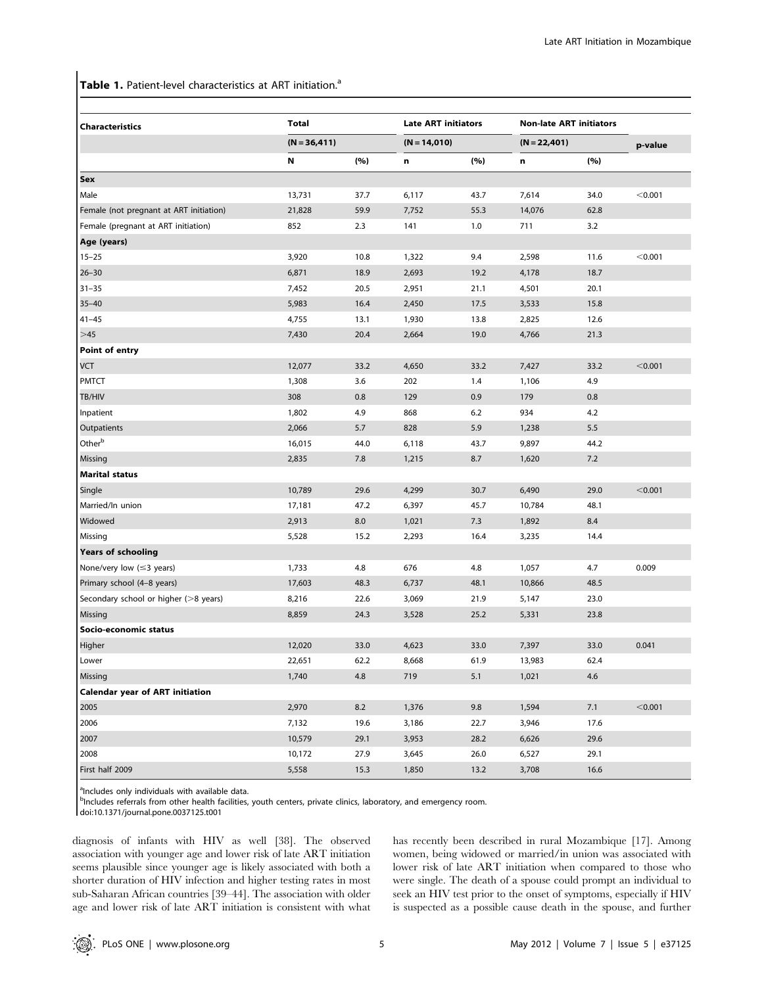Table 1. Patient-level characteristics at ART initiation.<sup>a</sup>

| <b>Characteristics</b>                  | <b>Total</b> |                 |       | <b>Late ART initiators</b><br>$(N = 14,010)$ |        | <b>Non-late ART initiators</b> |         |
|-----------------------------------------|--------------|-----------------|-------|----------------------------------------------|--------|--------------------------------|---------|
|                                         |              | $(N = 36, 411)$ |       |                                              |        | $(N = 22,401)$                 | p-value |
|                                         | N            | (%)             | n     | (%)                                          | n      | (%)                            |         |
| Sex                                     |              |                 |       |                                              |        |                                |         |
| Male                                    | 13,731       | 37.7            | 6,117 | 43.7                                         | 7,614  | 34.0                           | < 0.001 |
| Female (not pregnant at ART initiation) | 21,828       | 59.9            | 7,752 | 55.3                                         | 14,076 | 62.8                           |         |
| Female (pregnant at ART initiation)     | 852          | 2.3             | 141   | 1.0                                          | 711    | 3.2                            |         |
| Age (years)                             |              |                 |       |                                              |        |                                |         |
| $15 - 25$                               | 3,920        | 10.8            | 1,322 | 9.4                                          | 2,598  | 11.6                           | < 0.001 |
| $26 - 30$                               | 6,871        | 18.9            | 2,693 | 19.2                                         | 4,178  | 18.7                           |         |
| $31 - 35$                               | 7,452        | 20.5            | 2,951 | 21.1                                         | 4,501  | 20.1                           |         |
| $35 - 40$                               | 5,983        | 16.4            | 2,450 | 17.5                                         | 3,533  | 15.8                           |         |
| $41 - 45$                               | 4,755        | 13.1            | 1,930 | 13.8                                         | 2,825  | 12.6                           |         |
| $>45$                                   | 7,430        | 20.4            | 2,664 | 19.0                                         | 4,766  | 21.3                           |         |
| Point of entry                          |              |                 |       |                                              |        |                                |         |
| VCT                                     | 12,077       | 33.2            | 4,650 | 33.2                                         | 7,427  | 33.2                           | < 0.001 |
| <b>PMTCT</b>                            | 1,308        | 3.6             | 202   | 1.4                                          | 1,106  | 4.9                            |         |
| TB/HIV                                  | 308          | 0.8             | 129   | 0.9                                          | 179    | 0.8                            |         |
| Inpatient                               | 1,802        | 4.9             | 868   | 6.2                                          | 934    | 4.2                            |         |
| Outpatients                             | 2,066        | 5.7             | 828   | 5.9                                          | 1,238  | 5.5                            |         |
| Otherb                                  | 16,015       | 44.0            | 6,118 | 43.7                                         | 9,897  | 44.2                           |         |
| Missing                                 | 2,835        | 7.8             | 1,215 | 8.7                                          | 1,620  | 7.2                            |         |
| <b>Marital status</b>                   |              |                 |       |                                              |        |                                |         |
| Single                                  | 10,789       | 29.6            | 4,299 | 30.7                                         | 6,490  | 29.0                           | < 0.001 |
| Married/In union                        | 17,181       | 47.2            | 6,397 | 45.7                                         | 10,784 | 48.1                           |         |
| Widowed                                 | 2,913        | 8.0             | 1,021 | 7.3                                          | 1,892  | 8.4                            |         |
| Missing                                 | 5,528        | 15.2            | 2,293 | 16.4                                         | 3,235  | 14.4                           |         |
| <b>Years of schooling</b>               |              |                 |       |                                              |        |                                |         |
| None/very low $(\leq 3$ years)          | 1,733        | 4.8             | 676   | 4.8                                          | 1,057  | 4.7                            | 0.009   |
| Primary school (4-8 years)              | 17,603       | 48.3            | 6,737 | 48.1                                         | 10,866 | 48.5                           |         |
| Secondary school or higher (>8 years)   | 8,216        | 22.6            | 3,069 | 21.9                                         | 5,147  | 23.0                           |         |
| Missing                                 | 8,859        | 24.3            | 3,528 | 25.2                                         | 5,331  | 23.8                           |         |
| Socio-economic status                   |              |                 |       |                                              |        |                                |         |
| Higher                                  | 12,020       | 33.0            | 4,623 | 33.0                                         | 7,397  | 33.0                           | 0.041   |
| Lower                                   | 22,651       | 62.2            | 8,668 | 61.9                                         | 13,983 | 62.4                           |         |
| Missing                                 | 1,740        | 4.8             | 719   | 5.1                                          | 1,021  | 4.6                            |         |
| <b>Calendar year of ART initiation</b>  |              |                 |       |                                              |        |                                |         |
| 2005                                    | 2,970        | 8.2             | 1,376 | 9.8                                          | 1,594  | 7.1                            | < 0.001 |
| 2006                                    | 7,132        | 19.6            | 3,186 | 22.7                                         | 3,946  | 17.6                           |         |
| 2007                                    | 10,579       | 29.1            | 3,953 | 28.2                                         | 6,626  | 29.6                           |         |
| 2008                                    | 10,172       | 27.9            | 3,645 | 26.0                                         | 6,527  | 29.1                           |         |
| First half 2009                         | 5,558        | 15.3            | 1,850 | 13.2                                         | 3,708  | 16.6                           |         |

<sup>a</sup>Includes only individuals with available data.

<sup>b</sup>Includes referrals from other health facilities, youth centers, private clinics, laboratory, and emergency room.

doi:10.1371/journal.pone.0037125.t001

diagnosis of infants with HIV as well [38]. The observed association with younger age and lower risk of late ART initiation seems plausible since younger age is likely associated with both a shorter duration of HIV infection and higher testing rates in most sub-Saharan African countries [39–44]. The association with older age and lower risk of late ART initiation is consistent with what has recently been described in rural Mozambique [17]. Among women, being widowed or married/in union was associated with lower risk of late ART initiation when compared to those who were single. The death of a spouse could prompt an individual to seek an HIV test prior to the onset of symptoms, especially if HIV is suspected as a possible cause death in the spouse, and further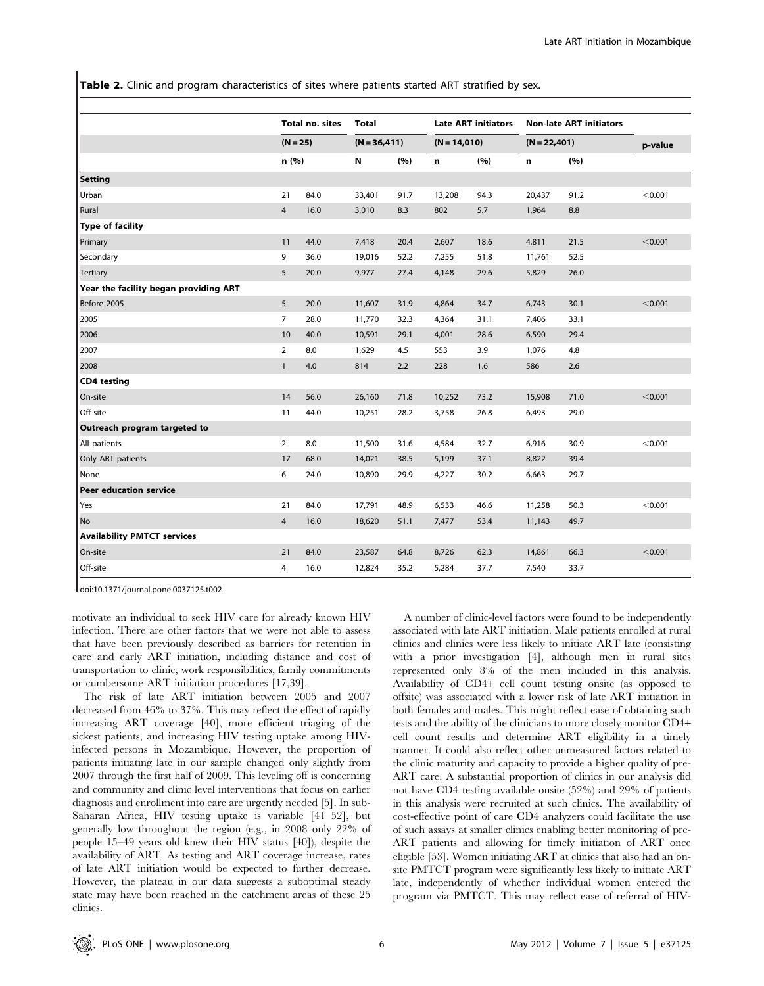Table 2. Clinic and program characteristics of sites where patients started ART stratified by sex.

|                                       | Total no. sites<br>$(N = 25)$<br>n (%) |      | Total                             |      | <b>Late ART initiators</b> |                | <b>Non-late ART initiators</b> |         |         |
|---------------------------------------|----------------------------------------|------|-----------------------------------|------|----------------------------|----------------|--------------------------------|---------|---------|
|                                       |                                        |      | $(N = 36, 411)$<br>$(N = 14,010)$ |      |                            | $(N = 22,401)$ |                                | p-value |         |
|                                       |                                        |      | N                                 | (%)  | n                          | (%)            | n                              | (%)     |         |
| <b>Setting</b>                        |                                        |      |                                   |      |                            |                |                                |         |         |
| Urban                                 | 21                                     | 84.0 | 33,401                            | 91.7 | 13,208                     | 94.3           | 20,437                         | 91.2    | < 0.001 |
| Rural                                 | $\overline{4}$                         | 16.0 | 3,010                             | 8.3  | 802                        | 5.7            | 1,964                          | 8.8     |         |
| <b>Type of facility</b>               |                                        |      |                                   |      |                            |                |                                |         |         |
| Primary                               | 11                                     | 44.0 | 7,418                             | 20.4 | 2,607                      | 18.6           | 4,811                          | 21.5    | < 0.001 |
| Secondary                             | 9                                      | 36.0 | 19,016                            | 52.2 | 7,255                      | 51.8           | 11,761                         | 52.5    |         |
| <b>Tertiary</b>                       | 5                                      | 20.0 | 9,977                             | 27.4 | 4,148                      | 29.6           | 5,829                          | 26.0    |         |
| Year the facility began providing ART |                                        |      |                                   |      |                            |                |                                |         |         |
| Before 2005                           | 5                                      | 20.0 | 11,607                            | 31.9 | 4,864                      | 34.7           | 6,743                          | 30.1    | < 0.001 |
| 2005                                  | $\overline{7}$                         | 28.0 | 11,770                            | 32.3 | 4,364                      | 31.1           | 7,406                          | 33.1    |         |
| 2006                                  | 10                                     | 40.0 | 10,591                            | 29.1 | 4,001                      | 28.6           | 6,590                          | 29.4    |         |
| 2007                                  | $\overline{2}$                         | 8.0  | 1,629                             | 4.5  | 553                        | 3.9            | 1,076                          | 4.8     |         |
| 2008                                  | $\mathbf{1}$                           | 4.0  | 814                               | 2.2  | 228                        | 1.6            | 586                            | 2.6     |         |
| <b>CD4</b> testing                    |                                        |      |                                   |      |                            |                |                                |         |         |
| On-site                               | 14                                     | 56.0 | 26,160                            | 71.8 | 10,252                     | 73.2           | 15,908                         | 71.0    | < 0.001 |
| Off-site                              | 11                                     | 44.0 | 10,251                            | 28.2 | 3,758                      | 26.8           | 6,493                          | 29.0    |         |
| Outreach program targeted to          |                                        |      |                                   |      |                            |                |                                |         |         |
| All patients                          | $\overline{2}$                         | 8.0  | 11,500                            | 31.6 | 4,584                      | 32.7           | 6,916                          | 30.9    | < 0.001 |
| Only ART patients                     | 17                                     | 68.0 | 14,021                            | 38.5 | 5,199                      | 37.1           | 8,822                          | 39.4    |         |
| None                                  | 6                                      | 24.0 | 10,890                            | 29.9 | 4,227                      | 30.2           | 6,663                          | 29.7    |         |
| <b>Peer education service</b>         |                                        |      |                                   |      |                            |                |                                |         |         |
| Yes                                   | 21                                     | 84.0 | 17,791                            | 48.9 | 6,533                      | 46.6           | 11,258                         | 50.3    | < 0.001 |
| No                                    | $\overline{4}$                         | 16.0 | 18,620                            | 51.1 | 7,477                      | 53.4           | 11,143                         | 49.7    |         |
| <b>Availability PMTCT services</b>    |                                        |      |                                   |      |                            |                |                                |         |         |
| On-site                               | 21                                     | 84.0 | 23,587                            | 64.8 | 8,726                      | 62.3           | 14,861                         | 66.3    | < 0.001 |
| Off-site                              | 4                                      | 16.0 | 12,824                            | 35.2 | 5,284                      | 37.7           | 7,540                          | 33.7    |         |

doi:10.1371/journal.pone.0037125.t002

motivate an individual to seek HIV care for already known HIV infection. There are other factors that we were not able to assess that have been previously described as barriers for retention in care and early ART initiation, including distance and cost of transportation to clinic, work responsibilities, family commitments or cumbersome ART initiation procedures [17,39].

The risk of late ART initiation between 2005 and 2007 decreased from 46% to 37%. This may reflect the effect of rapidly increasing ART coverage [40], more efficient triaging of the sickest patients, and increasing HIV testing uptake among HIVinfected persons in Mozambique. However, the proportion of patients initiating late in our sample changed only slightly from 2007 through the first half of 2009. This leveling off is concerning and community and clinic level interventions that focus on earlier diagnosis and enrollment into care are urgently needed [5]. In sub-Saharan Africa, HIV testing uptake is variable [41–52], but generally low throughout the region (e.g., in 2008 only 22% of people 15–49 years old knew their HIV status [40]), despite the availability of ART. As testing and ART coverage increase, rates of late ART initiation would be expected to further decrease. However, the plateau in our data suggests a suboptimal steady state may have been reached in the catchment areas of these 25 clinics.

A number of clinic-level factors were found to be independently associated with late ART initiation. Male patients enrolled at rural clinics and clinics were less likely to initiate ART late (consisting with a prior investigation [4], although men in rural sites represented only 8% of the men included in this analysis. Availability of CD4+ cell count testing onsite (as opposed to offsite) was associated with a lower risk of late ART initiation in both females and males. This might reflect ease of obtaining such tests and the ability of the clinicians to more closely monitor CD4+ cell count results and determine ART eligibility in a timely manner. It could also reflect other unmeasured factors related to the clinic maturity and capacity to provide a higher quality of pre-ART care. A substantial proportion of clinics in our analysis did not have CD4 testing available onsite (52%) and 29% of patients in this analysis were recruited at such clinics. The availability of cost-effective point of care CD4 analyzers could facilitate the use of such assays at smaller clinics enabling better monitoring of pre-ART patients and allowing for timely initiation of ART once eligible [53]. Women initiating ART at clinics that also had an onsite PMTCT program were significantly less likely to initiate ART late, independently of whether individual women entered the program via PMTCT. This may reflect ease of referral of HIV-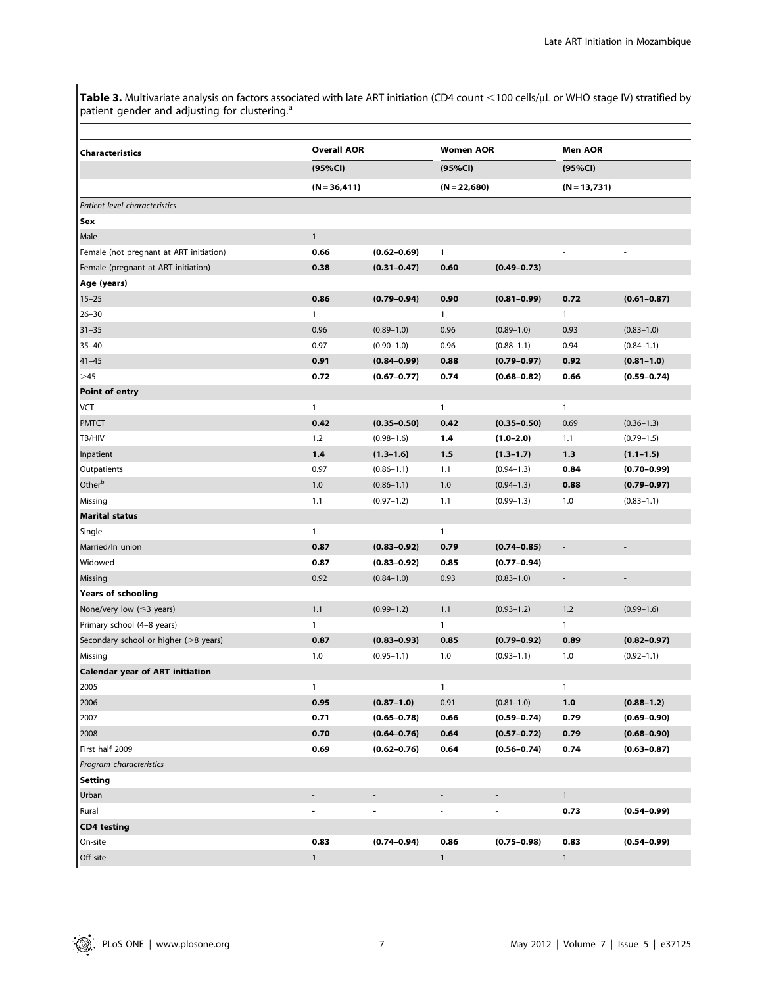**Table 3.** Multivariate analysis on factors associated with late ART initiation (CD4 count  $<$ 100 cells/µL or WHO stage IV) stratified by patient gender and adjusting for clustering.<sup>a</sup>

| Characteristics                         | <b>Overall AOR</b> |                 | <b>Women AOR</b> |                 | <b>Men AOR</b>           |                          |  |
|-----------------------------------------|--------------------|-----------------|------------------|-----------------|--------------------------|--------------------------|--|
|                                         | (95%CI)            |                 |                  | (95%CI)         |                          | (95%CI)                  |  |
|                                         | $(N = 36, 411)$    |                 | $(N = 22,680)$   |                 | $(N = 13,731)$           |                          |  |
| Patient-level characteristics           |                    |                 |                  |                 |                          |                          |  |
| Sex                                     |                    |                 |                  |                 |                          |                          |  |
| Male                                    | $\mathbf{1}$       |                 |                  |                 |                          |                          |  |
| Female (not pregnant at ART initiation) | 0.66               | $(0.62 - 0.69)$ | $\mathbf{1}$     |                 | i.                       |                          |  |
| Female (pregnant at ART initiation)     | 0.38               | $(0.31 - 0.47)$ | 0.60             | $(0.49 - 0.73)$ | $\overline{\phantom{a}}$ | $\overline{\phantom{a}}$ |  |
| Age (years)                             |                    |                 |                  |                 |                          |                          |  |
| $15 - 25$                               | 0.86               | $(0.79 - 0.94)$ | 0.90             | $(0.81 - 0.99)$ | 0.72                     | $(0.61 - 0.87)$          |  |
| $26 - 30$                               | $\mathbf{1}$       |                 | $\mathbf{1}$     |                 | 1                        |                          |  |
| $31 - 35$                               | 0.96               | $(0.89 - 1.0)$  | 0.96             | $(0.89 - 1.0)$  | 0.93                     | $(0.83 - 1.0)$           |  |
| $35 - 40$                               | 0.97               | $(0.90 - 1.0)$  | 0.96             | $(0.88 - 1.1)$  | 0.94                     | $(0.84 - 1.1)$           |  |
| $41 - 45$                               | 0.91               | $(0.84 - 0.99)$ | 0.88             | $(0.79 - 0.97)$ | 0.92                     | $(0.81 - 1.0)$           |  |
| >45                                     | 0.72               | $(0.67 - 0.77)$ | 0.74             | $(0.68 - 0.82)$ | 0.66                     | $(0.59 - 0.74)$          |  |
| Point of entry                          |                    |                 |                  |                 |                          |                          |  |
| VCT                                     | $\mathbf{1}$       |                 | $\mathbf{1}$     |                 | $\mathbf{1}$             |                          |  |
| <b>PMTCT</b>                            | 0.42               | $(0.35 - 0.50)$ | 0.42             | $(0.35 - 0.50)$ | 0.69                     | $(0.36 - 1.3)$           |  |
| TB/HIV                                  | 1.2                | $(0.98 - 1.6)$  | 1.4              | $(1.0 - 2.0)$   | 1.1                      | $(0.79 - 1.5)$           |  |
| Inpatient                               | 1,4                | $(1.3 - 1.6)$   | 1.5              | $(1.3 - 1.7)$   | 1.3                      | $(1.1 - 1.5)$            |  |
| Outpatients                             | 0.97               | $(0.86 - 1.1)$  | 1.1              | $(0.94 - 1.3)$  | 0.84                     | $(0.70 - 0.99)$          |  |
| Other <sup>b</sup>                      | 1.0                | $(0.86 - 1.1)$  | 1.0              | $(0.94 - 1.3)$  | 0.88                     | $(0.79 - 0.97)$          |  |
| Missing                                 | 1.1                | $(0.97 - 1.2)$  | 1.1              | $(0.99 - 1.3)$  | 1.0                      | $(0.83 - 1.1)$           |  |
| <b>Marital status</b>                   |                    |                 |                  |                 |                          |                          |  |
| Single                                  | $\mathbf{1}$       |                 | $\mathbf{1}$     |                 | L,                       |                          |  |
| Married/In union                        | 0.87               | $(0.83 - 0.92)$ | 0.79             | $(0.74 - 0.85)$ | $\overline{\phantom{a}}$ | $\overline{\phantom{a}}$ |  |
| Widowed                                 | 0.87               | $(0.83 - 0.92)$ | 0.85             | $(0.77 - 0.94)$ | $\overline{\phantom{a}}$ |                          |  |
| Missing                                 | 0.92               | $(0.84 - 1.0)$  | 0.93             | $(0.83 - 1.0)$  | $\overline{\phantom{a}}$ | $\overline{\phantom{a}}$ |  |
| <b>Years of schooling</b>               |                    |                 |                  |                 |                          |                          |  |
| None/very low $(\leq 3$ years)          | 1.1                | $(0.99 - 1.2)$  | 1.1              | $(0.93 - 1.2)$  | 1.2                      | $(0.99 - 1.6)$           |  |
| Primary school (4-8 years)              | $\mathbf{1}$       |                 | $\mathbf{1}$     |                 | $\mathbf{1}$             |                          |  |
| Secondary school or higher (>8 years)   | 0.87               | $(0.83 - 0.93)$ | 0.85             | $(0.79 - 0.92)$ | 0.89                     | $(0.82 - 0.97)$          |  |
| Missing                                 | 1.0                | $(0.95 - 1.1)$  | 1.0              | $(0.93 - 1.1)$  | 1.0                      | $(0.92 - 1.1)$           |  |
| <b>Calendar year of ART initiation</b>  |                    |                 |                  |                 |                          |                          |  |
| 2005                                    | 1                  |                 | $\mathbf{1}$     |                 | $\mathbf{1}$             |                          |  |
| 2006                                    | 0.95               | $(0.87 - 1.0)$  | 0.91             | $(0.81 - 1.0)$  | 1.0                      | $(0.88 - 1.2)$           |  |
| 2007                                    | 0.71               | $(0.65 - 0.78)$ | 0.66             | $(0.59 - 0.74)$ | 0.79                     | $(0.69 - 0.90)$          |  |
| 2008                                    | 0.70               | $(0.64 - 0.76)$ | 0.64             | $(0.57 - 0.72)$ | 0.79                     | $(0.68 - 0.90)$          |  |
| First half 2009                         | 0.69               | $(0.62 - 0.76)$ | 0.64             | $(0.56 - 0.74)$ | 0.74                     | $(0.63 - 0.87)$          |  |
| Program characteristics                 |                    |                 |                  |                 |                          |                          |  |
| <b>Setting</b>                          |                    |                 |                  |                 |                          |                          |  |
| Urban                                   |                    |                 |                  |                 | $\mathbf{1}$             |                          |  |
| Rural                                   |                    | $\blacksquare$  | ä,               |                 | 0.73                     | $(0.54 - 0.99)$          |  |
| <b>CD4 testing</b>                      |                    |                 |                  |                 |                          |                          |  |
| On-site                                 | 0.83               | $(0.74 - 0.94)$ | 0.86             | $(0.75 - 0.98)$ | 0.83                     | $(0.54 - 0.99)$          |  |
| Off-site                                | $\mathbf{1}$       |                 | $\mathbf{1}$     |                 | $\mathbf{1}$             | $\sim$                   |  |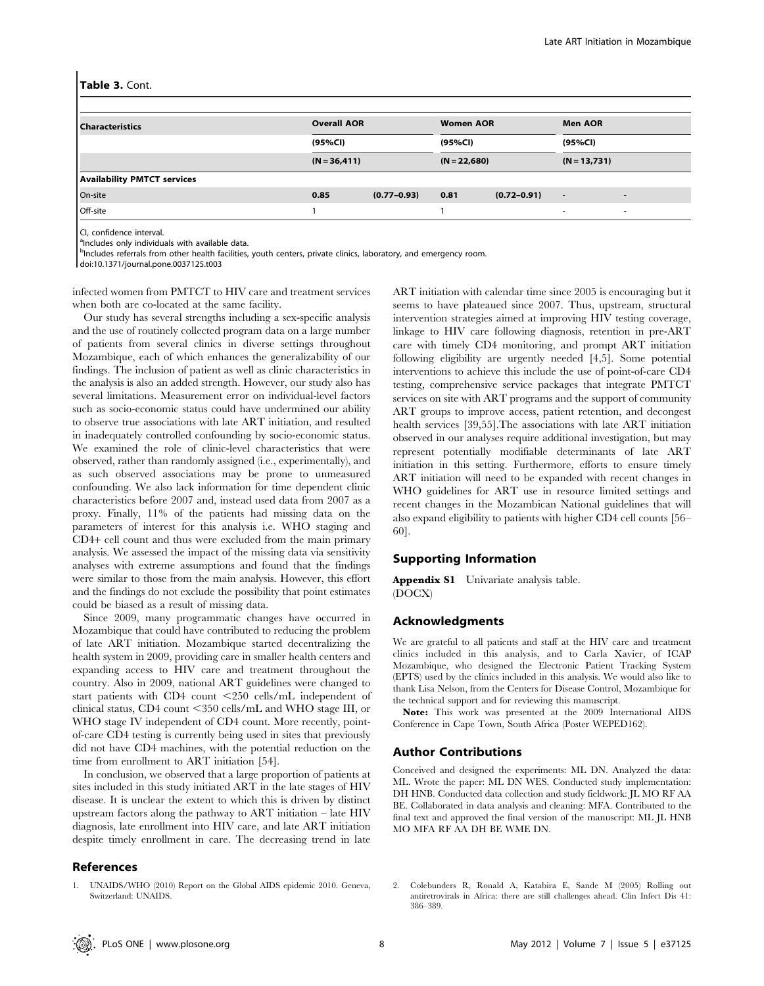#### Table 3. Cont.

| <b>Characteristics</b>             | <b>Overall AOR</b> |                 | <b>Women AOR</b> |                 | <b>Men AOR</b>           |                          |
|------------------------------------|--------------------|-----------------|------------------|-----------------|--------------------------|--------------------------|
|                                    | (95%Cl)            |                 | (95%Cl)          |                 | (95%CI)                  |                          |
|                                    | $(N = 36, 411)$    |                 | $(N = 22,680)$   |                 | $(N = 13,731)$           |                          |
| <b>Availability PMTCT services</b> |                    |                 |                  |                 |                          |                          |
| On-site                            | 0.85               | $(0.77 - 0.93)$ | 0.81             | $(0.72 - 0.91)$ | $\overline{\phantom{a}}$ | $\overline{\phantom{a}}$ |
| Off-site                           |                    |                 |                  |                 | ۰                        | $\overline{\phantom{a}}$ |

CI, confidence interval.

<sup>a</sup>Includes only individuals with available data.

<sup>b</sup>Includes referrals from other health facilities, youth centers, private clinics, laboratory, and emergency room.

doi:10.1371/journal.pone.0037125.t003

infected women from PMTCT to HIV care and treatment services when both are co-located at the same facility.

Our study has several strengths including a sex-specific analysis and the use of routinely collected program data on a large number of patients from several clinics in diverse settings throughout Mozambique, each of which enhances the generalizability of our findings. The inclusion of patient as well as clinic characteristics in the analysis is also an added strength. However, our study also has several limitations. Measurement error on individual-level factors such as socio-economic status could have undermined our ability to observe true associations with late ART initiation, and resulted in inadequately controlled confounding by socio-economic status. We examined the role of clinic-level characteristics that were observed, rather than randomly assigned (i.e., experimentally), and as such observed associations may be prone to unmeasured confounding. We also lack information for time dependent clinic characteristics before 2007 and, instead used data from 2007 as a proxy. Finally, 11% of the patients had missing data on the parameters of interest for this analysis i.e. WHO staging and CD4+ cell count and thus were excluded from the main primary analysis. We assessed the impact of the missing data via sensitivity analyses with extreme assumptions and found that the findings were similar to those from the main analysis. However, this effort and the findings do not exclude the possibility that point estimates could be biased as a result of missing data.

Since 2009, many programmatic changes have occurred in Mozambique that could have contributed to reducing the problem of late ART initiation. Mozambique started decentralizing the health system in 2009, providing care in smaller health centers and expanding access to HIV care and treatment throughout the country. Also in 2009, national ART guidelines were changed to start patients with CD4 count  $\langle 250 \text{ cells/mL} \rangle$  independent of clinical status, CD4 count  $\leq$ 350 cells/mL and WHO stage III, or WHO stage IV independent of CD4 count. More recently, pointof-care CD4 testing is currently being used in sites that previously did not have CD4 machines, with the potential reduction on the time from enrollment to ART initiation [54].

In conclusion, we observed that a large proportion of patients at sites included in this study initiated ART in the late stages of HIV disease. It is unclear the extent to which this is driven by distinct upstream factors along the pathway to ART initiation – late HIV diagnosis, late enrollment into HIV care, and late ART initiation despite timely enrollment in care. The decreasing trend in late

# References

1. UNAIDS/WHO (2010) Report on the Global AIDS epidemic 2010. Geneva, Switzerland: UNAIDS.

ART initiation with calendar time since 2005 is encouraging but it seems to have plateaued since 2007. Thus, upstream, structural intervention strategies aimed at improving HIV testing coverage, linkage to HIV care following diagnosis, retention in pre-ART care with timely CD4 monitoring, and prompt ART initiation following eligibility are urgently needed [4,5]. Some potential interventions to achieve this include the use of point-of-care CD4 testing, comprehensive service packages that integrate PMTCT services on site with ART programs and the support of community ART groups to improve access, patient retention, and decongest health services [39,55].The associations with late ART initiation observed in our analyses require additional investigation, but may represent potentially modifiable determinants of late ART initiation in this setting. Furthermore, efforts to ensure timely ART initiation will need to be expanded with recent changes in WHO guidelines for ART use in resource limited settings and recent changes in the Mozambican National guidelines that will also expand eligibility to patients with higher CD4 cell counts [56– 60].

## Supporting Information

Appendix S1 Univariate analysis table. (DOCX)

### Acknowledgments

We are grateful to all patients and staff at the HIV care and treatment clinics included in this analysis, and to Carla Xavier, of ICAP Mozambique, who designed the Electronic Patient Tracking System (EPTS) used by the clinics included in this analysis. We would also like to thank Lisa Nelson, from the Centers for Disease Control, Mozambique for the technical support and for reviewing this manuscript.

Note: This work was presented at the 2009 International AIDS Conference in Cape Town, South Africa (Poster WEPED162).

### Author Contributions

Conceived and designed the experiments: ML DN. Analyzed the data: ML. Wrote the paper: ML DN WES. Conducted study implementation: DH HNB. Conducted data collection and study fieldwork: JL MO RF AA BE. Collaborated in data analysis and cleaning: MFA. Contributed to the final text and approved the final version of the manuscript: ML JL HNB MO MFA RF AA DH BE WME DN.

2. Colebunders R, Ronald A, Katabira E, Sande M (2005) Rolling out antiretrovirals in Africa: there are still challenges ahead. Clin Infect Dis 41: 386–389.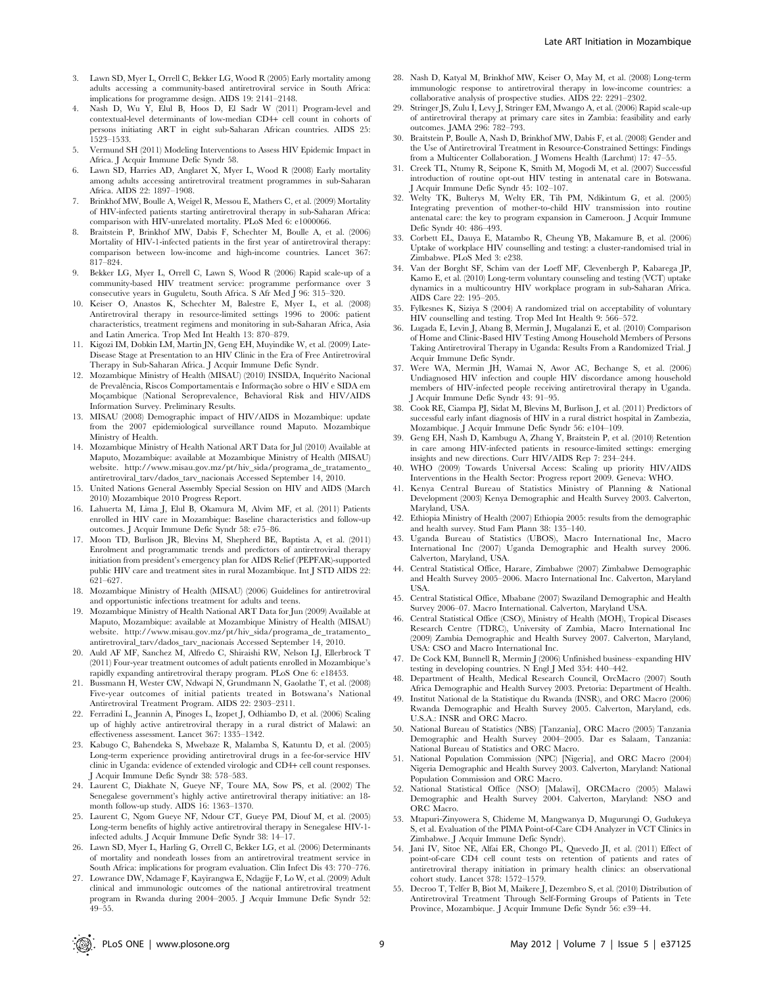- 3. Lawn SD, Myer L, Orrell C, Bekker LG, Wood R (2005) Early mortality among adults accessing a community-based antiretroviral service in South Africa: implications for programme design. AIDS 19: 2141–2148.
- 4. Nash D, Wu Y, Elul B, Hoos D, El Sadr W (2011) Program-level and contextual-level determinants of low-median CD4+ cell count in cohorts of persons initiating ART in eight sub-Saharan African countries. AIDS 25: 1523–1533.
- 5. Vermund SH (2011) Modeling Interventions to Assess HIV Epidemic Impact in Africa. J Acquir Immune Defic Syndr 58.
- 6. Lawn SD, Harries AD, Anglaret X, Myer L, Wood R (2008) Early mortality among adults accessing antiretroviral treatment programmes in sub-Saharan Africa. AIDS 22: 1897–1908.
- 7. Brinkhof MW, Boulle A, Weigel R, Messou E, Mathers C, et al. (2009) Mortality of HIV-infected patients starting antiretroviral therapy in sub-Saharan Africa: comparison with HIV-unrelated mortality. PLoS Med 6: e1000066.
- 8. Braitstein P, Brinkhof MW, Dabis F, Schechter M, Boulle A, et al. (2006) Mortality of HIV-1-infected patients in the first year of antiretroviral therapy: comparison between low-income and high-income countries. Lancet 367: 817–824.
- 9. Bekker LG, Myer L, Orrell C, Lawn S, Wood R (2006) Rapid scale-up of a community-based HIV treatment service: programme performance over 3 consecutive years in Guguletu, South Africa. S Afr Med J 96: 315–320.
- 10. Keiser O, Anastos K, Schechter M, Balestre E, Myer L, et al. (2008) Antiretroviral therapy in resource-limited settings 1996 to 2006: patient characteristics, treatment regimens and monitoring in sub-Saharan Africa, Asia and Latin America. Trop Med Int Health 13: 870–879.
- 11. Kigozi IM, Dobkin LM, Martin JN, Geng EH, Muyindike W, et al. (2009) Late-Disease Stage at Presentation to an HIV Clinic in the Era of Free Antiretroviral Therapy in Sub-Saharan Africa. J Acquir Immune Defic Syndr.
- 12. Mozambique Ministry of Health (MISAU) (2010) INSIDA, Inquérito Nacional de Prevalência, Riscos Comportamentais e Informação sobre o HIV e SIDA em Moçambique (National Seroprevalence, Behavioral Risk and HIV/AIDS Information Survey. Preliminary Results.
- 13. MISAU (2008) Demographic impact of HIV/AIDS in Mozambique: update from the 2007 epidemiological surveillance round Maputo. Mozambique Ministry of Health.
- 14. Mozambique Ministry of Health National ART Data for Jul (2010) Available at Maputo, Mozambique: available at Mozambique Ministry of Health (MISAU) website. http://www.misau.gov.mz/pt/hiv\_sida/programa\_de\_tratamento\_ antiretroviral\_tarv/dados\_tarv\_nacionais Accessed September 14, 2010.
- 15. United Nations General Assembly Special Session on HIV and AIDS (March 2010) Mozambique 2010 Progress Report.
- 16. Lahuerta M, Lima J, Elul B, Okamura M, Alvim MF, et al. (2011) Patients enrolled in HIV care in Mozambique: Baseline characteristics and follow-up outcomes. J Acquir Immune Defic Syndr 58: e75–86.
- 17. Moon TD, Burlison JR, Blevins M, Shepherd BE, Baptista A, et al. (2011) Enrolment and programmatic trends and predictors of antiretroviral therapy initiation from president's emergency plan for AIDS Relief (PEPFAR)-supported public HIV care and treatment sites in rural Mozambique. Int J STD AIDS 22: 621–627.
- 18. Mozambique Ministry of Health (MISAU) (2006) Guidelines for antiretroviral and opportunistic infections treatment for adults and teens.
- 19. Mozambique Ministry of Health National ART Data for Jun (2009) Available at Maputo, Mozambique: available at Mozambique Ministry of Health (MISAU) website. http://www.misau.gov.mz/pt/hiv\_sida/programa\_de\_tratamento\_ antiretroviral\_tarv/dados\_tarv\_nacionais Accessed September 14, 2010.
- 20. Auld AF MF, Sanchez M, Alfredo C, Shiraishi RW, Nelson LJ, Ellerbrock T (2011) Four-year treatment outcomes of adult patients enrolled in Mozambique's rapidly expanding antiretroviral therapy program. PLoS One 6: e18453.
- 21. Bussmann H, Wester CW, Ndwapi N, Grundmann N, Gaolathe T, et al. (2008) Five-year outcomes of initial patients treated in Botswana's National Antiretroviral Treatment Program. AIDS 22: 2303–2311.
- 22. Ferradini L, Jeannin A, Pinoges L, Izopet J, Odhiambo D, et al. (2006) Scaling up of highly active antiretroviral therapy in a rural district of Malawi: an effectiveness assessment. Lancet 367: 1335–1342.
- 23. Kabugo C, Bahendeka S, Mwebaze R, Malamba S, Katuntu D, et al. (2005) Long-term experience providing antiretroviral drugs in a fee-for-service HIV clinic in Uganda: evidence of extended virologic and CD4+ cell count responses. J Acquir Immune Defic Syndr 38: 578–583.
- 24. Laurent C, Diakhate N, Gueye NF, Toure MA, Sow PS, et al. (2002) The Senegalese government's highly active antiretroviral therapy initiative: an 18 month follow-up study. AIDS 16: 1363–1370.
- 25. Laurent C, Ngom Gueye NF, Ndour CT, Gueye PM, Diouf M, et al. (2005) Long-term benefits of highly active antiretroviral therapy in Senegalese HIV-1 infected adults. J Acquir Immune Defic Syndr 38: 14–17.
- 26. Lawn SD, Myer L, Harling G, Orrell C, Bekker LG, et al. (2006) Determinants of mortality and nondeath losses from an antiretroviral treatment service in South Africa: implications for program evaluation. Clin Infect Dis 43: 770–776.
- 27. Lowrance DW, Ndamage F, Kayirangwa E, Ndagije F, Lo W, et al. (2009) Adult clinical and immunologic outcomes of the national antiretroviral treatment program in Rwanda during 2004–2005. J Acquir Immune Defic Syndr 52: 49–55.
- 28. Nash D, Katyal M, Brinkhof MW, Keiser O, May M, et al. (2008) Long-term immunologic response to antiretroviral therapy in low-income countries: a collaborative analysis of prospective studies. AIDS 22: 2291–2302.
- 29. Stringer JS, Zulu I, Levy J, Stringer EM, Mwango A, et al. (2006) Rapid scale-up of antiretroviral therapy at primary care sites in Zambia: feasibility and early outcomes. JAMA 296: 782–793.
- 30. Braitstein P, Boulle A, Nash D, Brinkhof MW, Dabis F, et al. (2008) Gender and the Use of Antiretroviral Treatment in Resource-Constrained Settings: Findings from a Multicenter Collaboration. J Womens Health (Larchmt) 17: 47–55.
- 31. Creek TL, Ntumy R, Seipone K, Smith M, Mogodi M, et al. (2007) Successful introduction of routine opt-out HIV testing in antenatal care in Botswana. J Acquir Immune Defic Syndr 45: 102–107.
- 32. Welty TK, Bulterys M, Welty ER, Tih PM, Ndikintum G, et al. (2005) Integrating prevention of mother-to-child HIV transmission into routine antenatal care: the key to program expansion in Cameroon. J Acquir Immune Defic Syndr 40: 486–493.
- 33. Corbett EL, Dauya E, Matambo R, Cheung YB, Makamure B, et al. (2006) Uptake of workplace HIV counselling and testing: a cluster-randomised trial in Zimbabwe. PLoS Med 3: e238.
- 34. Van der Borght SF, Schim van der Loeff MF, Clevenbergh P, Kabarega JP, Kamo E, et al. (2010) Long-term voluntary counseling and testing (VCT) uptake dynamics in a multicountry HIV workplace program in sub-Saharan Africa. AIDS Care 22: 195–205.
- 35. Fylkesnes K, Siziya S (2004) A randomized trial on acceptability of voluntary HIV counselling and testing. Trop Med Int Health 9: 566–572.
- 36. Lugada E, Levin J, Abang B, Mermin J, Mugalanzi E, et al. (2010) Comparison of Home and Clinic-Based HIV Testing Among Household Members of Persons Taking Antiretroviral Therapy in Uganda: Results From a Randomized Trial. J Acquir Immune Defic Syndr.
- 37. Were WA, Mermin JH, Wamai N, Awor AC, Bechange S, et al. (2006) Undiagnosed HIV infection and couple HIV discordance among household members of HIV-infected people receiving antiretroviral therapy in Uganda. J Acquir Immune Defic Syndr 43: 91–95.
- 38. Cook RE, Ciampa PJ, Sidat M, Blevins M, Burlison J, et al. (2011) Predictors of successful early infant diagnosis of HIV in a rural district hospital in Zambezia, Mozambique. J Acquir Immune Defic Syndr 56: e104–109.
- 39. Geng EH, Nash D, Kambugu A, Zhang Y, Braitstein P, et al. (2010) Retention in care among HIV-infected patients in resource-limited settings: emerging insights and new directions. Curr HIV/AIDS Rep 7: 234–244.
- 40. WHO (2009) Towards Universal Access: Scaling up priority HIV/AIDS Interventions in the Health Sector: Progress report 2009. Geneva: WHO.
- 41. Kenya Central Bureau of Statistics Ministry of Planning & National Development (2003) Kenya Demographic and Health Survey 2003. Calverton, Maryland, USA.
- 42. Ethiopia Ministry of Health (2007) Ethiopia 2005: results from the demographic and health survey. Stud Fam Plann 38: 135–140.
- 43. Uganda Bureau of Statistics (UBOS), Macro International Inc, Macro International Inc (2007) Uganda Demographic and Health survey 2006. Calverton, Maryland, USA.
- 44. Central Statistical Office, Harare, Zimbabwe (2007) Zimbabwe Demographic and Health Survey 2005–2006. Macro International Inc. Calverton, Maryland USA.
- 45. Central Statistical Office, Mbabane (2007) Swaziland Demographic and Health Survey 2006–07. Macro International. Calverton, Maryland USA.
- 46. Central Statistical Office (CSO), Ministry of Health (MOH), Tropical Diseases Research Centre (TDRC), University of Zambia, Macro International Inc (2009) Zambia Demographic and Health Survey 2007. Calverton, Maryland, USA: CSO and Macro International Inc.
- 47. De Cock KM, Bunnell R, Mermin J (2006) Unfinished business–expanding HIV testing in developing countries. N Engl J Med 354: 440–442.
- 48. Department of Health, Medical Research Council, OrcMacro (2007) South Africa Demographic and Health Survey 2003. Pretoria: Department of Health.
- 49. Institut National de la Statistique du Rwanda (INSR), and ORC Macro (2006) Rwanda Demographic and Health Survey 2005. Calverton, Maryland, eds. U.S.A.: INSR and ORC Macro.
- 50. National Bureau of Statistics (NBS) [Tanzania], ORC Macro (2005) Tanzania Demographic and Health Survey 2004–2005. Dar es Salaam, Tanzania: National Bureau of Statistics and ORC Macro.
- 51. National Population Commission (NPC) [Nigeria], and ORC Macro (2004) Nigeria Demographic and Health Survey 2003. Calverton, Maryland: National Population Commission and ORC Macro.
- 52. National Statistical Office (NSO) [Malawi], ORCMacro (2005) Malawi Demographic and Health Survey 2004. Calverton, Maryland: NSO and ORC Macro.
- 53. Mtapuri-Zinyowera S, Chideme M, Mangwanya D, Mugurungi O, Gudukeya S, et al. Evaluation of the PIMA Point-of-Care CD4 Analyzer in VCT Clinics in Zimbabwe. J Acquir Immune Defic Syndr).
- 54. Jani IV, Sitoe NE, Alfai ER, Chongo PL, Quevedo JI, et al. (2011) Effect of point-of-care CD4 cell count tests on retention of patients and rates of antiretroviral therapy initiation in primary health clinics: an observational cohort study. Lancet 378: 1572–1579.
- 55. Decroo T, Telfer B, Biot M, Maikere J, Dezembro S, et al. (2010) Distribution of Antiretroviral Treatment Through Self-Forming Groups of Patients in Tete Province, Mozambique. J Acquir Immune Defic Syndr 56: e39–44.